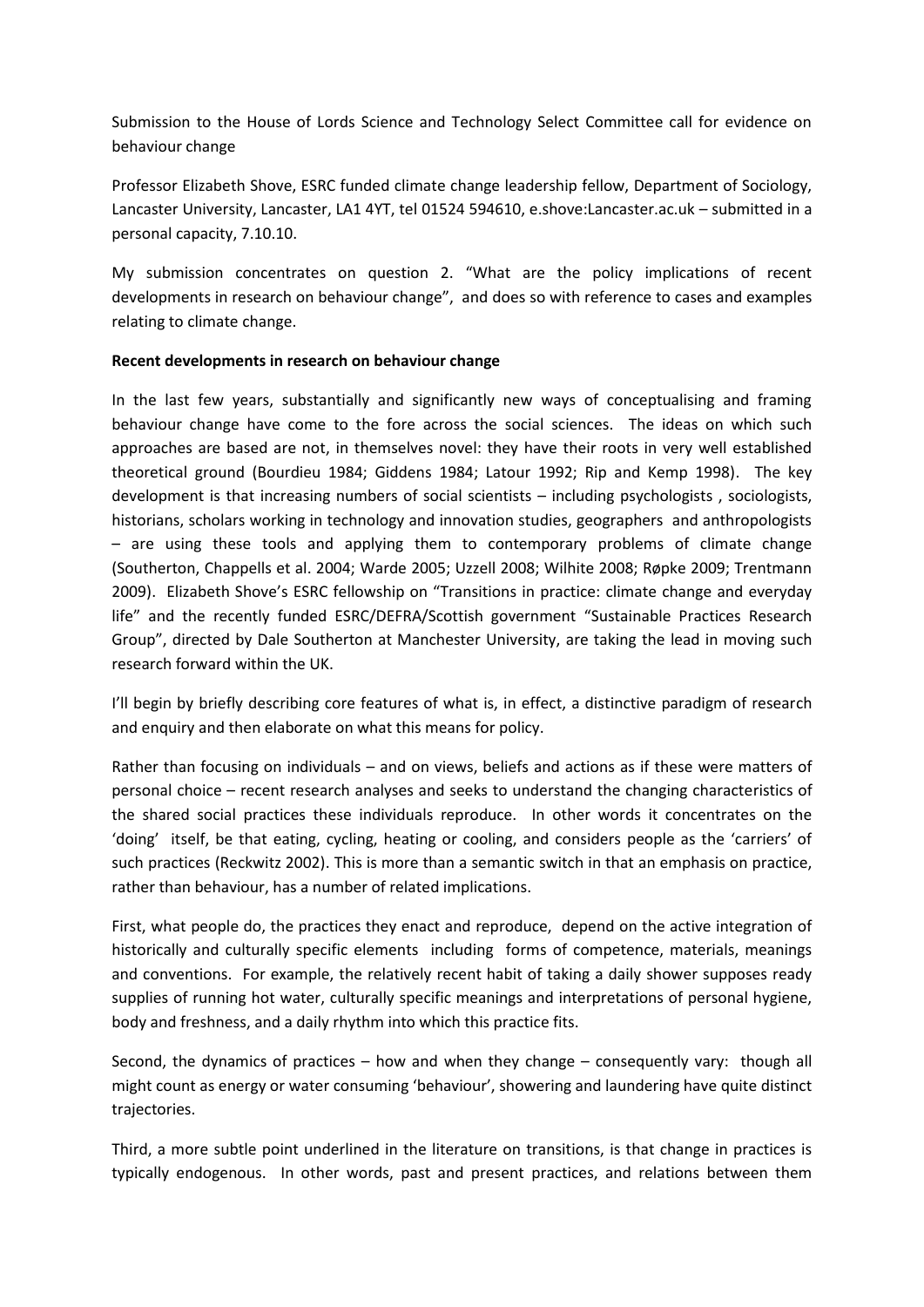Submission to the House of Lords Science and Technology Select Committee call for evidence on behaviour change

Professor Elizabeth Shove, ESRC funded climate change leadership fellow, Department of Sociology, Lancaster University, Lancaster, LA1 4YT, tel 01524 594610, e.shove:Lancaster.ac.uk – submitted in a personal capacity, 7.10.10.

My submission concentrates on question 2. "What are the policy implications of recent developments in research on behaviour change", and does so with reference to cases and examples relating to climate change.

## **Recent developments in research on behaviour change**

In the last few years, substantially and significantly new ways of conceptualising and framing behaviour change have come to the fore across the social sciences. The ideas on which such approaches are based are not, in themselves novel: they have their roots in very well established theoretical ground (Bourdieu 1984; Giddens 1984; Latour 1992; Rip and Kemp 1998). The key development is that increasing numbers of social scientists – including psychologists , sociologists, historians, scholars working in technology and innovation studies, geographers and anthropologists – are using these tools and applying them to contemporary problems of climate change (Southerton, Chappells et al. 2004; Warde 2005; Uzzell 2008; Wilhite 2008; Røpke 2009; Trentmann 2009). Elizabeth Shove's ESRC fellowship on "Transitions in practice: climate change and everyday life" and the recently funded ESRC/DEFRA/Scottish government "Sustainable Practices Research Group", directed by Dale Southerton at Manchester University, are taking the lead in moving such research forward within the UK.

I'll begin by briefly describing core features of what is, in effect, a distinctive paradigm of research and enquiry and then elaborate on what this means for policy.

Rather than focusing on individuals – and on views, beliefs and actions as if these were matters of personal choice – recent research analyses and seeks to understand the changing characteristics of the shared social practices these individuals reproduce. In other words it concentrates on the 'doing' itself, be that eating, cycling, heating or cooling, and considers people as the 'carriers' of such practices (Reckwitz 2002). This is more than a semantic switch in that an emphasis on practice, rather than behaviour, has a number of related implications.

First, what people do, the practices they enact and reproduce, depend on the active integration of historically and culturally specific elements including forms of competence, materials, meanings and conventions. For example, the relatively recent habit of taking a daily shower supposes ready supplies of running hot water, culturally specific meanings and interpretations of personal hygiene, body and freshness, and a daily rhythm into which this practice fits.

Second, the dynamics of practices – how and when they change – consequently vary: though all might count as energy or water consuming 'behaviour', showering and laundering have quite distinct trajectories.

Third, a more subtle point underlined in the literature on transitions, is that change in practices is typically endogenous. In other words, past and present practices, and relations between them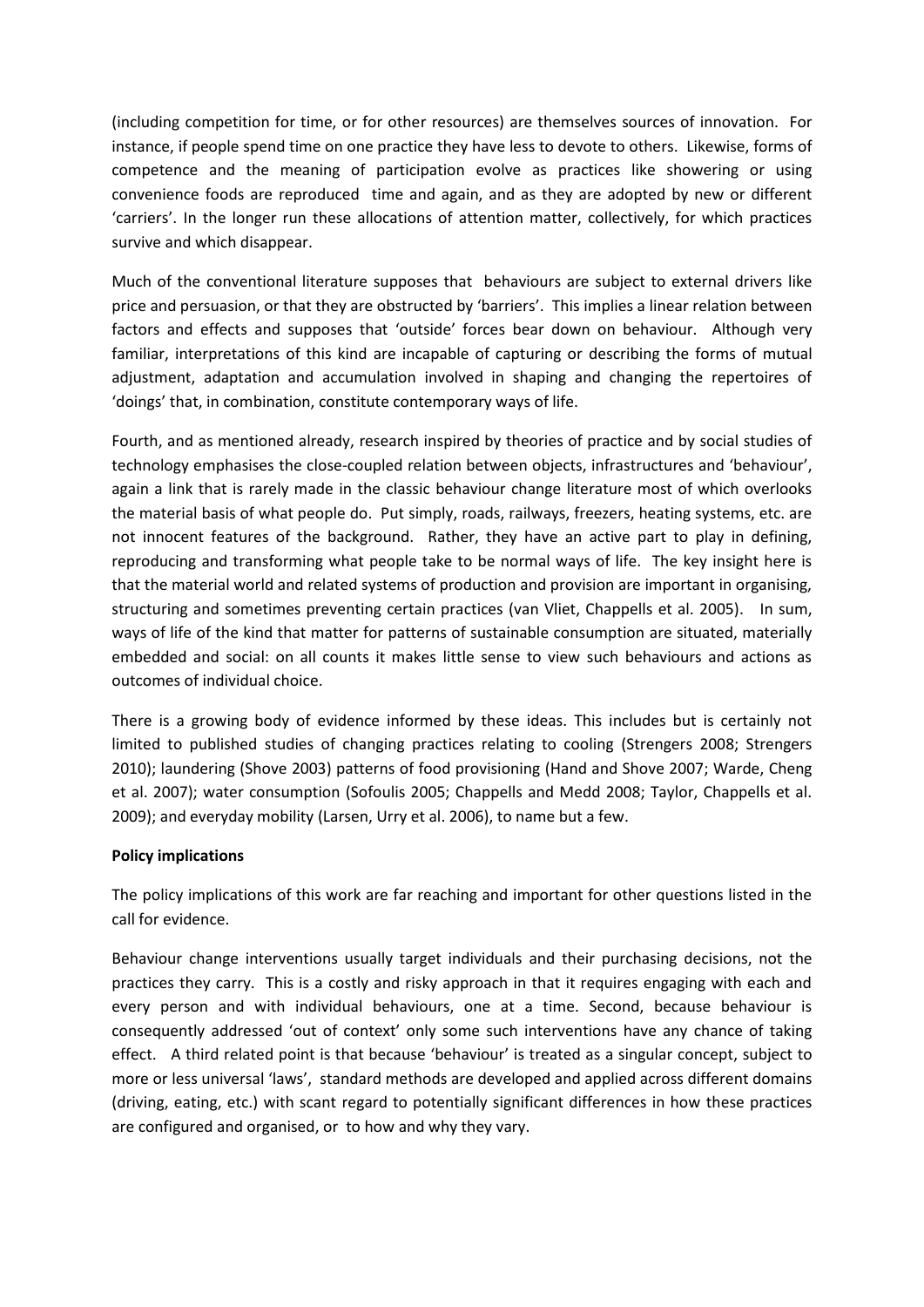(including competition for time, or for other resources) are themselves sources of innovation. For instance, if people spend time on one practice they have less to devote to others. Likewise, forms of competence and the meaning of participation evolve as practices like showering or using convenience foods are reproduced time and again, and as they are adopted by new or different 'carriers'. In the longer run these allocations of attention matter, collectively, for which practices survive and which disappear.

Much of the conventional literature supposes that behaviours are subject to external drivers like price and persuasion, or that they are obstructed by 'barriers'. This implies a linear relation between factors and effects and supposes that 'outside' forces bear down on behaviour. Although very familiar, interpretations of this kind are incapable of capturing or describing the forms of mutual adjustment, adaptation and accumulation involved in shaping and changing the repertoires of 'doings' that, in combination, constitute contemporary ways of life.

Fourth, and as mentioned already, research inspired by theories of practice and by social studies of technology emphasises the close-coupled relation between objects, infrastructures and 'behaviour', again a link that is rarely made in the classic behaviour change literature most of which overlooks the material basis of what people do. Put simply, roads, railways, freezers, heating systems, etc. are not innocent features of the background. Rather, they have an active part to play in defining, reproducing and transforming what people take to be normal ways of life. The key insight here is that the material world and related systems of production and provision are important in organising, structuring and sometimes preventing certain practices (van Vliet, Chappells et al. 2005). In sum, ways of life of the kind that matter for patterns of sustainable consumption are situated, materially embedded and social: on all counts it makes little sense to view such behaviours and actions as outcomes of individual choice.

There is a growing body of evidence informed by these ideas. This includes but is certainly not limited to published studies of changing practices relating to cooling (Strengers 2008; Strengers 2010); laundering (Shove 2003) patterns of food provisioning (Hand and Shove 2007; Warde, Cheng et al. 2007); water consumption (Sofoulis 2005; Chappells and Medd 2008; Taylor, Chappells et al. 2009); and everyday mobility (Larsen, Urry et al. 2006), to name but a few.

## **Policy implications**

The policy implications of this work are far reaching and important for other questions listed in the call for evidence.

Behaviour change interventions usually target individuals and their purchasing decisions, not the practices they carry. This is a costly and risky approach in that it requires engaging with each and every person and with individual behaviours, one at a time. Second, because behaviour is consequently addressed 'out of context' only some such interventions have any chance of taking effect. A third related point is that because 'behaviour' is treated as a singular concept, subject to more or less universal 'laws', standard methods are developed and applied across different domains (driving, eating, etc.) with scant regard to potentially significant differences in how these practices are configured and organised, or to how and why they vary.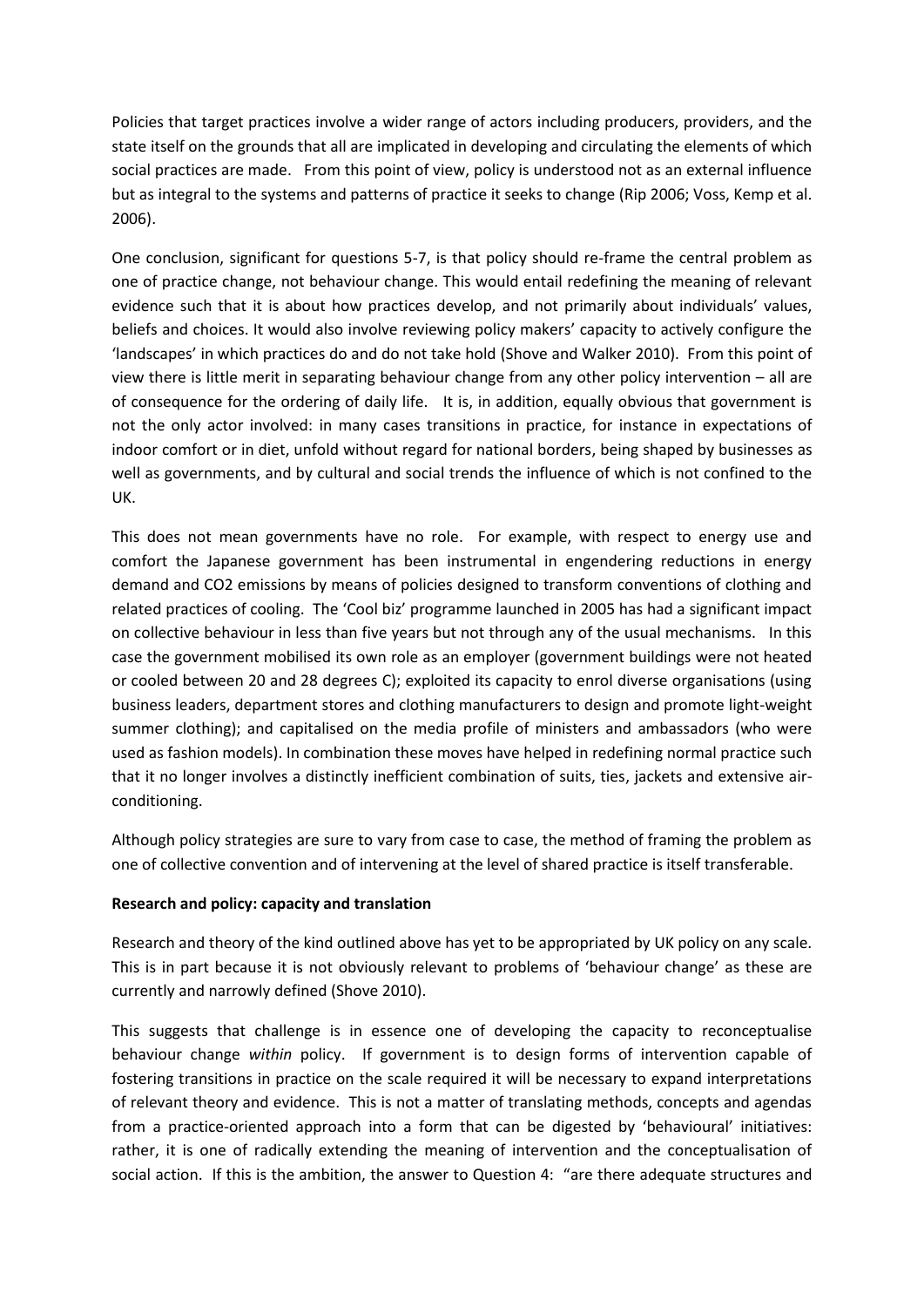Policies that target practices involve a wider range of actors including producers, providers, and the state itself on the grounds that all are implicated in developing and circulating the elements of which social practices are made. From this point of view, policy is understood not as an external influence but as integral to the systems and patterns of practice it seeks to change (Rip 2006; Voss, Kemp et al. 2006).

One conclusion, significant for questions 5-7, is that policy should re-frame the central problem as one of practice change, not behaviour change. This would entail redefining the meaning of relevant evidence such that it is about how practices develop, and not primarily about individuals' values, beliefs and choices. It would also involve reviewing policy makers' capacity to actively configure the 'landscapes' in which practices do and do not take hold (Shove and Walker 2010). From this point of view there is little merit in separating behaviour change from any other policy intervention – all are of consequence for the ordering of daily life. It is, in addition, equally obvious that government is not the only actor involved: in many cases transitions in practice, for instance in expectations of indoor comfort or in diet, unfold without regard for national borders, being shaped by businesses as well as governments, and by cultural and social trends the influence of which is not confined to the UK.

This does not mean governments have no role. For example, with respect to energy use and comfort the Japanese government has been instrumental in engendering reductions in energy demand and CO2 emissions by means of policies designed to transform conventions of clothing and related practices of cooling. The 'Cool biz' programme launched in 2005 has had a significant impact on collective behaviour in less than five years but not through any of the usual mechanisms. In this case the government mobilised its own role as an employer (government buildings were not heated or cooled between 20 and 28 degrees C); exploited its capacity to enrol diverse organisations (using business leaders, department stores and clothing manufacturers to design and promote light-weight summer clothing); and capitalised on the media profile of ministers and ambassadors (who were used as fashion models). In combination these moves have helped in redefining normal practice such that it no longer involves a distinctly inefficient combination of suits, ties, jackets and extensive airconditioning.

Although policy strategies are sure to vary from case to case, the method of framing the problem as one of collective convention and of intervening at the level of shared practice is itself transferable.

## **Research and policy: capacity and translation**

Research and theory of the kind outlined above has yet to be appropriated by UK policy on any scale. This is in part because it is not obviously relevant to problems of 'behaviour change' as these are currently and narrowly defined (Shove 2010).

This suggests that challenge is in essence one of developing the capacity to reconceptualise behaviour change *within* policy. If government is to design forms of intervention capable of fostering transitions in practice on the scale required it will be necessary to expand interpretations of relevant theory and evidence. This is not a matter of translating methods, concepts and agendas from a practice-oriented approach into a form that can be digested by 'behavioural' initiatives: rather, it is one of radically extending the meaning of intervention and the conceptualisation of social action. If this is the ambition, the answer to Question 4: "are there adequate structures and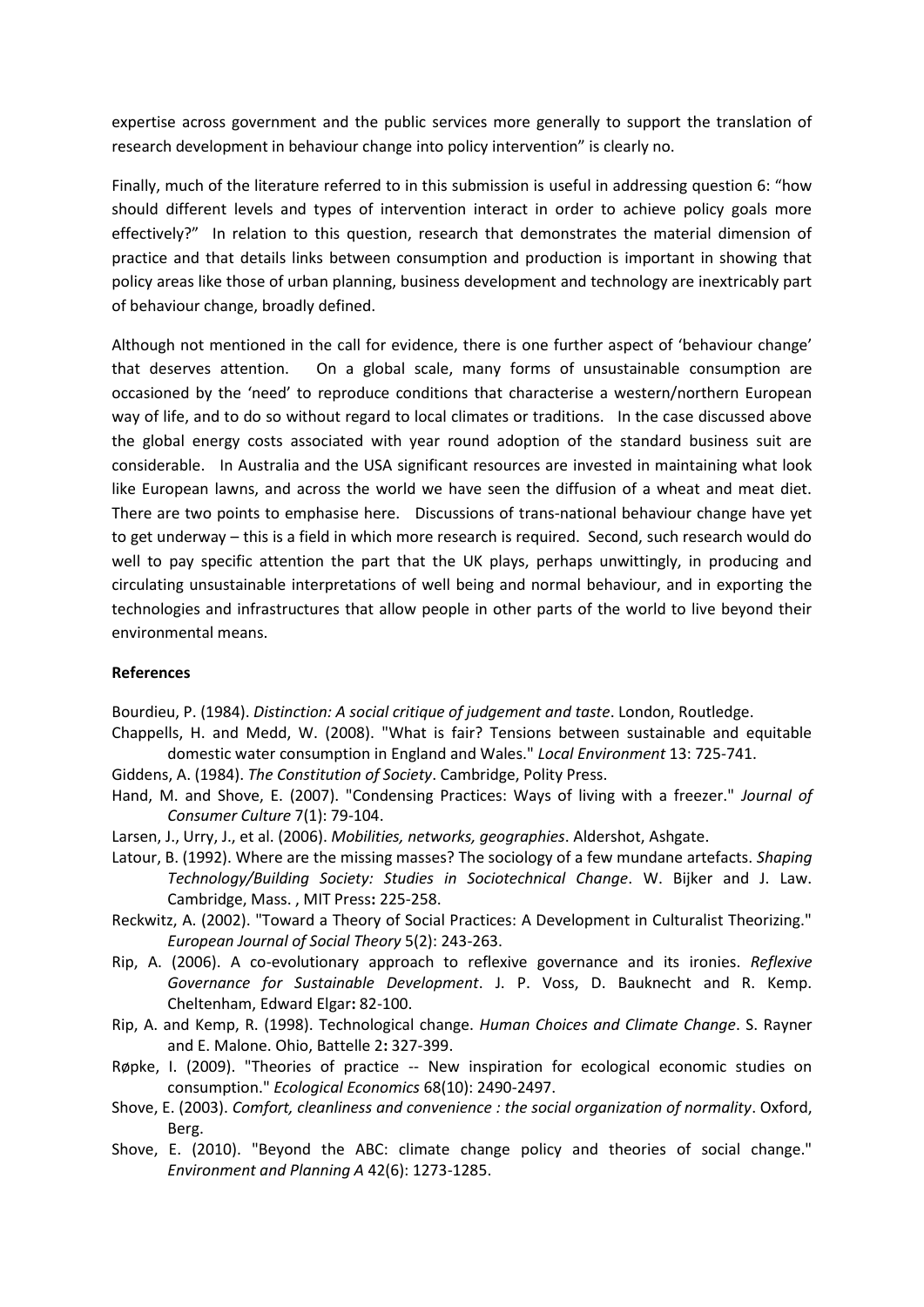expertise across government and the public services more generally to support the translation of research development in behaviour change into policy intervention" is clearly no.

Finally, much of the literature referred to in this submission is useful in addressing question 6: "how should different levels and types of intervention interact in order to achieve policy goals more effectively?" In relation to this question, research that demonstrates the material dimension of practice and that details links between consumption and production is important in showing that policy areas like those of urban planning, business development and technology are inextricably part of behaviour change, broadly defined.

Although not mentioned in the call for evidence, there is one further aspect of 'behaviour change' that deserves attention. On a global scale, many forms of unsustainable consumption are occasioned by the 'need' to reproduce conditions that characterise a western/northern European way of life, and to do so without regard to local climates or traditions. In the case discussed above the global energy costs associated with year round adoption of the standard business suit are considerable. In Australia and the USA significant resources are invested in maintaining what look like European lawns, and across the world we have seen the diffusion of a wheat and meat diet. There are two points to emphasise here. Discussions of trans-national behaviour change have yet to get underway – this is a field in which more research is required. Second, such research would do well to pay specific attention the part that the UK plays, perhaps unwittingly, in producing and circulating unsustainable interpretations of well being and normal behaviour, and in exporting the technologies and infrastructures that allow people in other parts of the world to live beyond their environmental means.

## **References**

Bourdieu, P. (1984). *Distinction: A social critique of judgement and taste*. London, Routledge.

- Chappells, H. and Medd, W. (2008). "What is fair? Tensions between sustainable and equitable domestic water consumption in England and Wales." *Local Environment* 13: 725-741.
- Giddens, A. (1984). *The Constitution of Society*. Cambridge, Polity Press.
- Hand, M. and Shove, E. (2007). "Condensing Practices: Ways of living with a freezer." *Journal of Consumer Culture* 7(1): 79-104.
- Larsen, J., Urry, J., et al. (2006). *Mobilities, networks, geographies*. Aldershot, Ashgate.
- Latour, B. (1992). Where are the missing masses? The sociology of a few mundane artefacts. *Shaping Technology/Building Society: Studies in Sociotechnical Change*. W. Bijker and J. Law. Cambridge, Mass. , MIT Press**:** 225-258.
- Reckwitz, A. (2002). "Toward a Theory of Social Practices: A Development in Culturalist Theorizing." *European Journal of Social Theory* 5(2): 243-263.
- Rip, A. (2006). A co-evolutionary approach to reflexive governance and its ironies. *Reflexive Governance for Sustainable Development*. J. P. Voss, D. Bauknecht and R. Kemp. Cheltenham, Edward Elgar**:** 82-100.
- Rip, A. and Kemp, R. (1998). Technological change. *Human Choices and Climate Change*. S. Rayner and E. Malone. Ohio, Battelle 2**:** 327-399.
- Røpke, I. (2009). "Theories of practice -- New inspiration for ecological economic studies on consumption." *Ecological Economics* 68(10): 2490-2497.
- Shove, E. (2003). *Comfort, cleanliness and convenience : the social organization of normality*. Oxford, Berg.
- Shove, E. (2010). "Beyond the ABC: climate change policy and theories of social change." *Environment and Planning A* 42(6): 1273-1285.